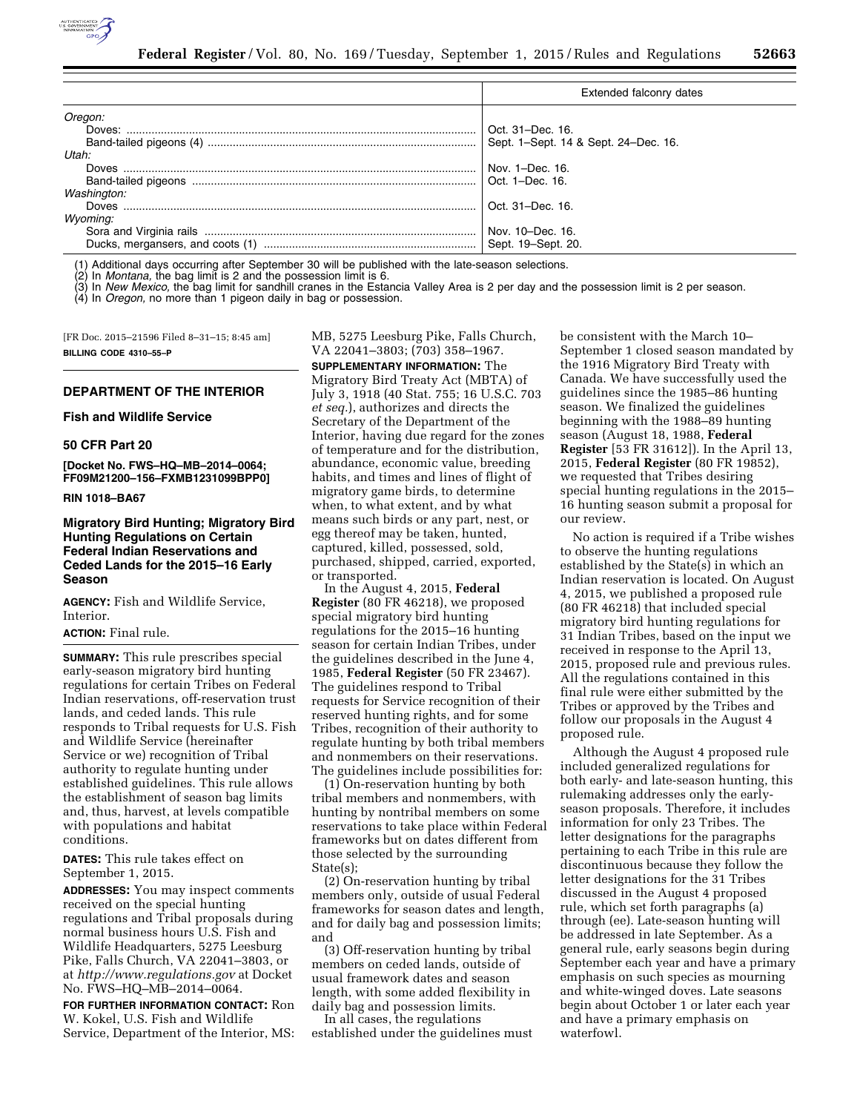

|             | Extended falconry dates              |
|-------------|--------------------------------------|
| Oregon:     |                                      |
| Doves:      | Oct. 31–Dec. 16.                     |
|             | Sept. 1-Sept. 14 & Sept. 24-Dec. 16. |
| Utah:       |                                      |
| Doves       | Nov. 1-Dec. 16.                      |
|             | Oct. 1-Dec. 16.                      |
| Washington: |                                      |
|             | Oct. 31-Dec. 16.                     |
| Wyoming:    |                                      |
|             | Nov. 10–Dec. 16.                     |
|             |                                      |

(1) Additional days occurring after September 30 will be published with the late-season selections.

(2) In *Montana,* the bag limit is 2 and the possession limit is 6.

(3) In *New Mexico,* the bag limit for sandhill cranes in the Estancia Valley Area is 2 per day and the possession limit is 2 per season.

(4) In *Oregon,* no more than 1 pigeon daily in bag or possession.

[FR Doc. 2015–21596 Filed 8–31–15; 8:45 am] **BILLING CODE 4310–55–P** 

# **DEPARTMENT OF THE INTERIOR**

**Fish and Wildlife Service** 

# **50 CFR Part 20**

**[Docket No. FWS–HQ–MB–2014–0064; FF09M21200–156–FXMB1231099BPP0]** 

### **RIN 1018–BA67**

# **Migratory Bird Hunting; Migratory Bird Hunting Regulations on Certain Federal Indian Reservations and Ceded Lands for the 2015–16 Early Season**

**AGENCY:** Fish and Wildlife Service, Interior.

# **ACTION:** Final rule.

**SUMMARY:** This rule prescribes special early-season migratory bird hunting regulations for certain Tribes on Federal Indian reservations, off-reservation trust lands, and ceded lands. This rule responds to Tribal requests for U.S. Fish and Wildlife Service (hereinafter Service or we) recognition of Tribal authority to regulate hunting under established guidelines. This rule allows the establishment of season bag limits and, thus, harvest, at levels compatible with populations and habitat conditions.

**DATES:** This rule takes effect on September 1, 2015.

**ADDRESSES:** You may inspect comments received on the special hunting regulations and Tribal proposals during normal business hours U.S. Fish and Wildlife Headquarters, 5275 Leesburg Pike, Falls Church, VA 22041–3803, or at *<http://www.regulations.gov>* at Docket No. FWS–HQ–MB–2014–0064.

**FOR FURTHER INFORMATION CONTACT:** Ron W. Kokel, U.S. Fish and Wildlife Service, Department of the Interior, MS: MB, 5275 Leesburg Pike, Falls Church, VA 22041–3803; (703) 358–1967.

**SUPPLEMENTARY INFORMATION:** The Migratory Bird Treaty Act (MBTA) of July 3, 1918 (40 Stat. 755; 16 U.S.C. 703 *et seq.*), authorizes and directs the Secretary of the Department of the Interior, having due regard for the zones of temperature and for the distribution, abundance, economic value, breeding habits, and times and lines of flight of migratory game birds, to determine when, to what extent, and by what means such birds or any part, nest, or egg thereof may be taken, hunted, captured, killed, possessed, sold, purchased, shipped, carried, exported, or transported.

In the August 4, 2015, **Federal Register** (80 FR 46218), we proposed special migratory bird hunting regulations for the 2015–16 hunting season for certain Indian Tribes, under the guidelines described in the June 4, 1985, **Federal Register** (50 FR 23467). The guidelines respond to Tribal requests for Service recognition of their reserved hunting rights, and for some Tribes, recognition of their authority to regulate hunting by both tribal members and nonmembers on their reservations. The guidelines include possibilities for:

(1) On-reservation hunting by both tribal members and nonmembers, with hunting by nontribal members on some reservations to take place within Federal frameworks but on dates different from those selected by the surrounding State(s):

(2) On-reservation hunting by tribal members only, outside of usual Federal frameworks for season dates and length, and for daily bag and possession limits; and

(3) Off-reservation hunting by tribal members on ceded lands, outside of usual framework dates and season length, with some added flexibility in daily bag and possession limits.

In all cases, the regulations established under the guidelines must be consistent with the March 10– September 1 closed season mandated by the 1916 Migratory Bird Treaty with Canada. We have successfully used the guidelines since the 1985–86 hunting season. We finalized the guidelines beginning with the 1988–89 hunting season (August 18, 1988, **Federal Register** [53 FR 31612]). In the April 13, 2015, **Federal Register** (80 FR 19852), we requested that Tribes desiring special hunting regulations in the 2015– 16 hunting season submit a proposal for our review.

No action is required if a Tribe wishes to observe the hunting regulations established by the State(s) in which an Indian reservation is located. On August 4, 2015, we published a proposed rule (80 FR 46218) that included special migratory bird hunting regulations for 31 Indian Tribes, based on the input we received in response to the April 13, 2015, proposed rule and previous rules. All the regulations contained in this final rule were either submitted by the Tribes or approved by the Tribes and follow our proposals in the August 4 proposed rule.

Although the August 4 proposed rule included generalized regulations for both early- and late-season hunting, this rulemaking addresses only the earlyseason proposals. Therefore, it includes information for only 23 Tribes. The letter designations for the paragraphs pertaining to each Tribe in this rule are discontinuous because they follow the letter designations for the 31 Tribes discussed in the August 4 proposed rule, which set forth paragraphs (a) through (ee). Late-season hunting will be addressed in late September. As a general rule, early seasons begin during September each year and have a primary emphasis on such species as mourning and white-winged doves. Late seasons begin about October 1 or later each year and have a primary emphasis on waterfowl.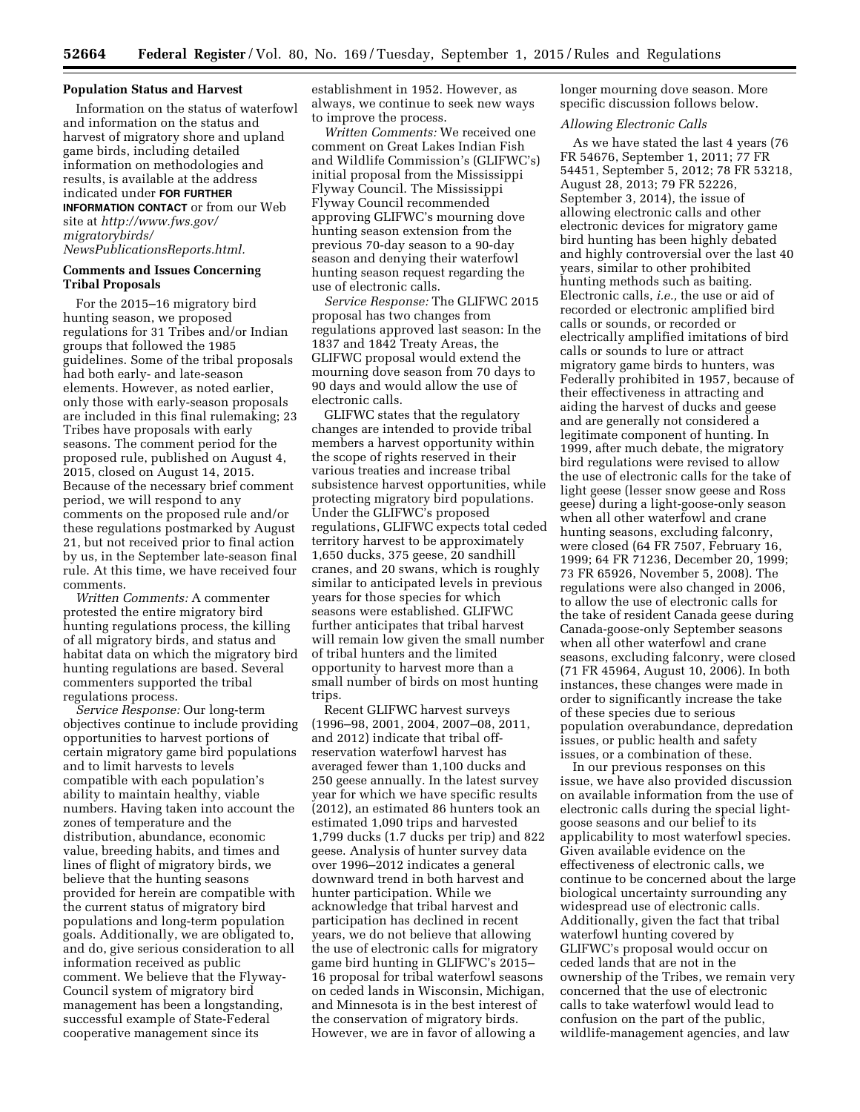# **Population Status and Harvest**

Information on the status of waterfowl and information on the status and harvest of migratory shore and upland game birds, including detailed information on methodologies and results, is available at the address indicated under **FOR FURTHER INFORMATION CONTACT** or from our Web

site at *[http://www.fws.gov/](http://www.fws.gov/migratorybirds/NewsPublicationsReports.html) [migratorybirds/](http://www.fws.gov/migratorybirds/NewsPublicationsReports.html)*

*[NewsPublicationsReports.html.](http://www.fws.gov/migratorybirds/NewsPublicationsReports.html)* 

# **Comments and Issues Concerning Tribal Proposals**

For the 2015–16 migratory bird hunting season, we proposed regulations for 31 Tribes and/or Indian groups that followed the 1985 guidelines. Some of the tribal proposals had both early- and late-season elements. However, as noted earlier, only those with early-season proposals are included in this final rulemaking; 23 Tribes have proposals with early seasons. The comment period for the proposed rule, published on August 4, 2015, closed on August 14, 2015. Because of the necessary brief comment period, we will respond to any comments on the proposed rule and/or these regulations postmarked by August 21, but not received prior to final action by us, in the September late-season final rule. At this time, we have received four comments.

*Written Comments:* A commenter protested the entire migratory bird hunting regulations process, the killing of all migratory birds, and status and habitat data on which the migratory bird hunting regulations are based. Several commenters supported the tribal regulations process.

*Service Response:* Our long-term objectives continue to include providing opportunities to harvest portions of certain migratory game bird populations and to limit harvests to levels compatible with each population's ability to maintain healthy, viable numbers. Having taken into account the zones of temperature and the distribution, abundance, economic value, breeding habits, and times and lines of flight of migratory birds, we believe that the hunting seasons provided for herein are compatible with the current status of migratory bird populations and long-term population goals. Additionally, we are obligated to, and do, give serious consideration to all information received as public comment. We believe that the Flyway-Council system of migratory bird management has been a longstanding, successful example of State-Federal cooperative management since its

establishment in 1952. However, as always, we continue to seek new ways to improve the process.

*Written Comments:* We received one comment on Great Lakes Indian Fish and Wildlife Commission's (GLIFWC's) initial proposal from the Mississippi Flyway Council. The Mississippi Flyway Council recommended approving GLIFWC's mourning dove hunting season extension from the previous 70-day season to a 90-day season and denying their waterfowl hunting season request regarding the use of electronic calls.

*Service Response:* The GLIFWC 2015 proposal has two changes from regulations approved last season: In the 1837 and 1842 Treaty Areas, the GLIFWC proposal would extend the mourning dove season from 70 days to 90 days and would allow the use of electronic calls.

GLIFWC states that the regulatory changes are intended to provide tribal members a harvest opportunity within the scope of rights reserved in their various treaties and increase tribal subsistence harvest opportunities, while protecting migratory bird populations. Under the GLIFWC's proposed regulations, GLIFWC expects total ceded territory harvest to be approximately 1,650 ducks, 375 geese, 20 sandhill cranes, and 20 swans, which is roughly similar to anticipated levels in previous years for those species for which seasons were established. GLIFWC further anticipates that tribal harvest will remain low given the small number of tribal hunters and the limited opportunity to harvest more than a small number of birds on most hunting trips.

Recent GLIFWC harvest surveys (1996–98, 2001, 2004, 2007–08, 2011, and 2012) indicate that tribal offreservation waterfowl harvest has averaged fewer than 1,100 ducks and 250 geese annually. In the latest survey year for which we have specific results (2012), an estimated 86 hunters took an estimated 1,090 trips and harvested 1,799 ducks (1.7 ducks per trip) and 822 geese. Analysis of hunter survey data over 1996–2012 indicates a general downward trend in both harvest and hunter participation. While we acknowledge that tribal harvest and participation has declined in recent years, we do not believe that allowing the use of electronic calls for migratory game bird hunting in GLIFWC's 2015– 16 proposal for tribal waterfowl seasons on ceded lands in Wisconsin, Michigan, and Minnesota is in the best interest of the conservation of migratory birds. However, we are in favor of allowing a

longer mourning dove season. More specific discussion follows below.

### *Allowing Electronic Calls*

As we have stated the last 4 years (76 FR 54676, September 1, 2011; 77 FR 54451, September 5, 2012; 78 FR 53218, August 28, 2013; 79 FR 52226, September 3, 2014), the issue of allowing electronic calls and other electronic devices for migratory game bird hunting has been highly debated and highly controversial over the last 40 years, similar to other prohibited hunting methods such as baiting. Electronic calls, *i.e.,* the use or aid of recorded or electronic amplified bird calls or sounds, or recorded or electrically amplified imitations of bird calls or sounds to lure or attract migratory game birds to hunters, was Federally prohibited in 1957, because of their effectiveness in attracting and aiding the harvest of ducks and geese and are generally not considered a legitimate component of hunting. In 1999, after much debate, the migratory bird regulations were revised to allow the use of electronic calls for the take of light geese (lesser snow geese and Ross geese) during a light-goose-only season when all other waterfowl and crane hunting seasons, excluding falconry, were closed (64 FR 7507, February 16, 1999; 64 FR 71236, December 20, 1999; 73 FR 65926, November 5, 2008). The regulations were also changed in 2006, to allow the use of electronic calls for the take of resident Canada geese during Canada-goose-only September seasons when all other waterfowl and crane seasons, excluding falconry, were closed (71 FR 45964, August 10, 2006). In both instances, these changes were made in order to significantly increase the take of these species due to serious population overabundance, depredation issues, or public health and safety issues, or a combination of these.

In our previous responses on this issue, we have also provided discussion on available information from the use of electronic calls during the special lightgoose seasons and our belief to its applicability to most waterfowl species. Given available evidence on the effectiveness of electronic calls, we continue to be concerned about the large biological uncertainty surrounding any widespread use of electronic calls. Additionally, given the fact that tribal waterfowl hunting covered by GLIFWC's proposal would occur on ceded lands that are not in the ownership of the Tribes, we remain very concerned that the use of electronic calls to take waterfowl would lead to confusion on the part of the public, wildlife-management agencies, and law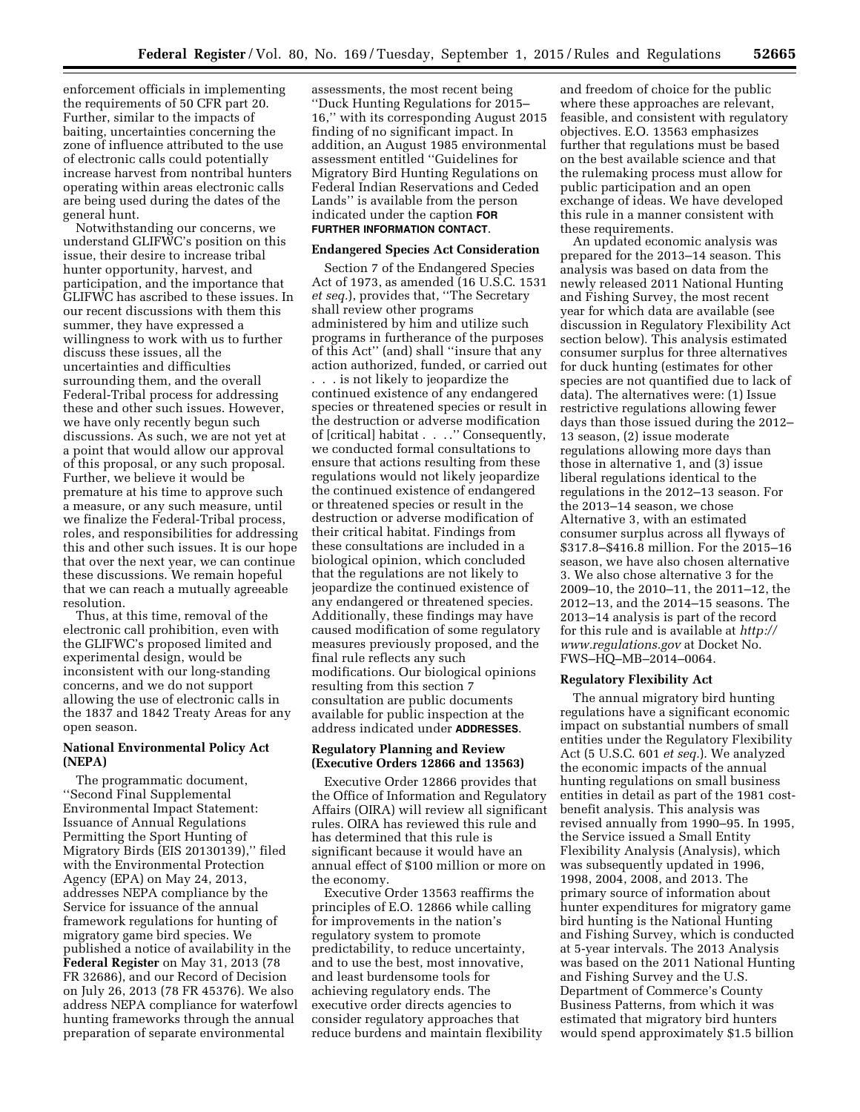enforcement officials in implementing the requirements of 50 CFR part 20. Further, similar to the impacts of baiting, uncertainties concerning the zone of influence attributed to the use of electronic calls could potentially increase harvest from nontribal hunters operating within areas electronic calls are being used during the dates of the general hunt.

Notwithstanding our concerns, we understand GLIFWC's position on this issue, their desire to increase tribal hunter opportunity, harvest, and participation, and the importance that GLIFWC has ascribed to these issues. In our recent discussions with them this summer, they have expressed a willingness to work with us to further discuss these issues, all the uncertainties and difficulties surrounding them, and the overall Federal-Tribal process for addressing these and other such issues. However, we have only recently begun such discussions. As such, we are not yet at a point that would allow our approval of this proposal, or any such proposal. Further, we believe it would be premature at his time to approve such a measure, or any such measure, until we finalize the Federal-Tribal process, roles, and responsibilities for addressing this and other such issues. It is our hope that over the next year, we can continue these discussions. We remain hopeful that we can reach a mutually agreeable resolution.

Thus, at this time, removal of the electronic call prohibition, even with the GLIFWC's proposed limited and experimental design, would be inconsistent with our long-standing concerns, and we do not support allowing the use of electronic calls in the 1837 and 1842 Treaty Areas for any open season.

# **National Environmental Policy Act (NEPA)**

The programmatic document, ''Second Final Supplemental Environmental Impact Statement: Issuance of Annual Regulations Permitting the Sport Hunting of Migratory Birds (EIS 20130139),'' filed with the Environmental Protection Agency (EPA) on May 24, 2013, addresses NEPA compliance by the Service for issuance of the annual framework regulations for hunting of migratory game bird species. We published a notice of availability in the **Federal Register** on May 31, 2013 (78 FR 32686), and our Record of Decision on July 26, 2013 (78 FR 45376). We also address NEPA compliance for waterfowl hunting frameworks through the annual preparation of separate environmental

assessments, the most recent being ''Duck Hunting Regulations for 2015– 16,'' with its corresponding August 2015 finding of no significant impact. In addition, an August 1985 environmental assessment entitled ''Guidelines for Migratory Bird Hunting Regulations on Federal Indian Reservations and Ceded Lands'' is available from the person indicated under the caption **FOR FURTHER INFORMATION CONTACT**.

### **Endangered Species Act Consideration**

Section 7 of the Endangered Species Act of 1973, as amended (16 U.S.C. 1531 *et seq.*), provides that, ''The Secretary shall review other programs administered by him and utilize such programs in furtherance of the purposes of this Act'' (and) shall ''insure that any action authorized, funded, or carried out . . . is not likely to jeopardize the continued existence of any endangered species or threatened species or result in the destruction or adverse modification of [critical] habitat . . . .'' Consequently, we conducted formal consultations to ensure that actions resulting from these regulations would not likely jeopardize the continued existence of endangered or threatened species or result in the destruction or adverse modification of their critical habitat. Findings from these consultations are included in a biological opinion, which concluded that the regulations are not likely to jeopardize the continued existence of any endangered or threatened species. Additionally, these findings may have caused modification of some regulatory measures previously proposed, and the final rule reflects any such modifications. Our biological opinions resulting from this section 7 consultation are public documents available for public inspection at the address indicated under **ADDRESSES**.

# **Regulatory Planning and Review (Executive Orders 12866 and 13563)**

Executive Order 12866 provides that the Office of Information and Regulatory Affairs (OIRA) will review all significant rules. OIRA has reviewed this rule and has determined that this rule is significant because it would have an annual effect of \$100 million or more on the economy.

Executive Order 13563 reaffirms the principles of E.O. 12866 while calling for improvements in the nation's regulatory system to promote predictability, to reduce uncertainty, and to use the best, most innovative, and least burdensome tools for achieving regulatory ends. The executive order directs agencies to consider regulatory approaches that reduce burdens and maintain flexibility

and freedom of choice for the public where these approaches are relevant, feasible, and consistent with regulatory objectives. E.O. 13563 emphasizes further that regulations must be based on the best available science and that the rulemaking process must allow for public participation and an open exchange of ideas. We have developed this rule in a manner consistent with these requirements.

An updated economic analysis was prepared for the 2013–14 season. This analysis was based on data from the newly released 2011 National Hunting and Fishing Survey, the most recent year for which data are available (see discussion in Regulatory Flexibility Act section below). This analysis estimated consumer surplus for three alternatives for duck hunting (estimates for other species are not quantified due to lack of data). The alternatives were: (1) Issue restrictive regulations allowing fewer days than those issued during the 2012– 13 season, (2) issue moderate regulations allowing more days than those in alternative 1, and (3) issue liberal regulations identical to the regulations in the 2012–13 season. For the 2013–14 season, we chose Alternative 3, with an estimated consumer surplus across all flyways of \$317.8–\$416.8 million. For the 2015–16 season, we have also chosen alternative 3. We also chose alternative 3 for the 2009–10, the 2010–11, the 2011–12, the 2012–13, and the 2014–15 seasons. The 2013–14 analysis is part of the record for this rule and is available at *[http://](http://www.regulations.gov) [www.regulations.gov](http://www.regulations.gov)* at Docket No. FWS–HQ–MB–2014–0064.

# **Regulatory Flexibility Act**

The annual migratory bird hunting regulations have a significant economic impact on substantial numbers of small entities under the Regulatory Flexibility Act (5 U.S.C. 601 *et seq.*). We analyzed the economic impacts of the annual hunting regulations on small business entities in detail as part of the 1981 costbenefit analysis. This analysis was revised annually from 1990–95. In 1995, the Service issued a Small Entity Flexibility Analysis (Analysis), which was subsequently updated in 1996, 1998, 2004, 2008, and 2013. The primary source of information about hunter expenditures for migratory game bird hunting is the National Hunting and Fishing Survey, which is conducted at 5-year intervals. The 2013 Analysis was based on the 2011 National Hunting and Fishing Survey and the U.S. Department of Commerce's County Business Patterns, from which it was estimated that migratory bird hunters would spend approximately \$1.5 billion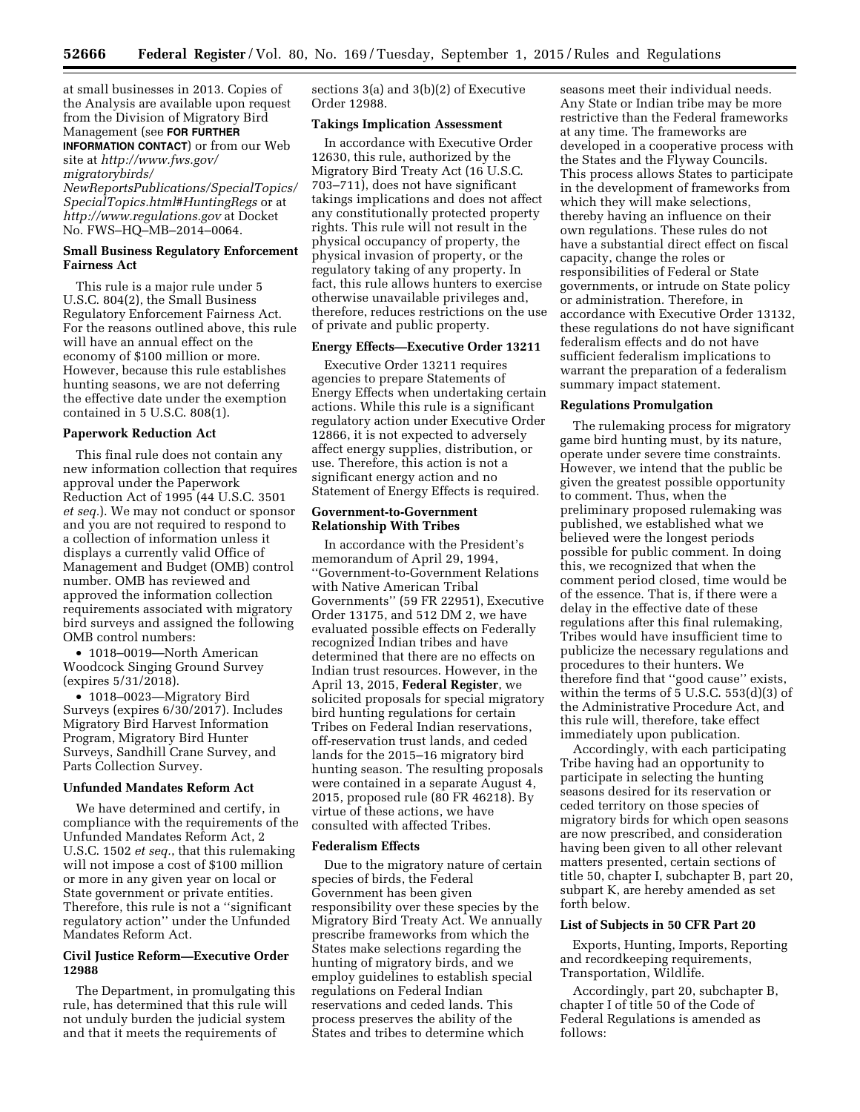at small businesses in 2013. Copies of the Analysis are available upon request from the Division of Migratory Bird Management (see **FOR FURTHER INFORMATION CONTACT**) or from our Web

site at *[http://www.fws.gov/](http://www.fws.gov/migratorybirds/NewReportsPublications/SpecialTopics/SpecialTopics.html#HuntingRegs) [migratorybirds/](http://www.fws.gov/migratorybirds/NewReportsPublications/SpecialTopics/SpecialTopics.html#HuntingRegs) [NewReportsPublications/SpecialTopics/](http://www.fws.gov/migratorybirds/NewReportsPublications/SpecialTopics/SpecialTopics.html#HuntingRegs)* 

*[SpecialTopics.html#HuntingRegs](http://www.fws.gov/migratorybirds/NewReportsPublications/SpecialTopics/SpecialTopics.html#HuntingRegs)* or at *<http://www.regulations.gov>* at Docket No. FWS–HQ–MB–2014–0064.

# **Small Business Regulatory Enforcement Fairness Act**

This rule is a major rule under 5 U.S.C. 804(2), the Small Business Regulatory Enforcement Fairness Act. For the reasons outlined above, this rule will have an annual effect on the economy of \$100 million or more. However, because this rule establishes hunting seasons, we are not deferring the effective date under the exemption contained in 5 U.S.C. 808(1).

# **Paperwork Reduction Act**

This final rule does not contain any new information collection that requires approval under the Paperwork Reduction Act of 1995 (44 U.S.C. 3501 *et seq.*). We may not conduct or sponsor and you are not required to respond to a collection of information unless it displays a currently valid Office of Management and Budget (OMB) control number. OMB has reviewed and approved the information collection requirements associated with migratory bird surveys and assigned the following OMB control numbers:

• 1018–0019—North American Woodcock Singing Ground Survey (expires 5/31/2018).

• 1018–0023—Migratory Bird Surveys (expires 6/30/2017). Includes Migratory Bird Harvest Information Program, Migratory Bird Hunter Surveys, Sandhill Crane Survey, and Parts Collection Survey.

# **Unfunded Mandates Reform Act**

We have determined and certify, in compliance with the requirements of the Unfunded Mandates Reform Act, 2 U.S.C. 1502 *et seq.*, that this rulemaking will not impose a cost of \$100 million or more in any given year on local or State government or private entities. Therefore, this rule is not a ''significant regulatory action'' under the Unfunded Mandates Reform Act.

# **Civil Justice Reform—Executive Order 12988**

The Department, in promulgating this rule, has determined that this rule will not unduly burden the judicial system and that it meets the requirements of

sections 3(a) and 3(b)(2) of Executive Order 12988.

### **Takings Implication Assessment**

In accordance with Executive Order 12630, this rule, authorized by the Migratory Bird Treaty Act (16 U.S.C. 703–711), does not have significant takings implications and does not affect any constitutionally protected property rights. This rule will not result in the physical occupancy of property, the physical invasion of property, or the regulatory taking of any property. In fact, this rule allows hunters to exercise otherwise unavailable privileges and, therefore, reduces restrictions on the use of private and public property.

# **Energy Effects—Executive Order 13211**

Executive Order 13211 requires agencies to prepare Statements of Energy Effects when undertaking certain actions. While this rule is a significant regulatory action under Executive Order 12866, it is not expected to adversely affect energy supplies, distribution, or use. Therefore, this action is not a significant energy action and no Statement of Energy Effects is required.

# **Government-to-Government Relationship With Tribes**

In accordance with the President's memorandum of April 29, 1994, ''Government-to-Government Relations with Native American Tribal Governments'' (59 FR 22951), Executive Order 13175, and 512 DM 2, we have evaluated possible effects on Federally recognized Indian tribes and have determined that there are no effects on Indian trust resources. However, in the April 13, 2015, **Federal Register**, we solicited proposals for special migratory bird hunting regulations for certain Tribes on Federal Indian reservations, off-reservation trust lands, and ceded lands for the 2015–16 migratory bird hunting season. The resulting proposals were contained in a separate August 4, 2015, proposed rule (80 FR 46218). By virtue of these actions, we have consulted with affected Tribes.

# **Federalism Effects**

Due to the migratory nature of certain species of birds, the Federal Government has been given responsibility over these species by the Migratory Bird Treaty Act. We annually prescribe frameworks from which the States make selections regarding the hunting of migratory birds, and we employ guidelines to establish special regulations on Federal Indian reservations and ceded lands. This process preserves the ability of the States and tribes to determine which

seasons meet their individual needs. Any State or Indian tribe may be more restrictive than the Federal frameworks at any time. The frameworks are developed in a cooperative process with the States and the Flyway Councils. This process allows States to participate in the development of frameworks from which they will make selections, thereby having an influence on their own regulations. These rules do not have a substantial direct effect on fiscal capacity, change the roles or responsibilities of Federal or State governments, or intrude on State policy or administration. Therefore, in accordance with Executive Order 13132, these regulations do not have significant federalism effects and do not have sufficient federalism implications to warrant the preparation of a federalism summary impact statement.

### **Regulations Promulgation**

The rulemaking process for migratory game bird hunting must, by its nature, operate under severe time constraints. However, we intend that the public be given the greatest possible opportunity to comment. Thus, when the preliminary proposed rulemaking was published, we established what we believed were the longest periods possible for public comment. In doing this, we recognized that when the comment period closed, time would be of the essence. That is, if there were a delay in the effective date of these regulations after this final rulemaking, Tribes would have insufficient time to publicize the necessary regulations and procedures to their hunters. We therefore find that ''good cause'' exists, within the terms of  $\overline{5}$  U.S.C. 553(d)(3) of the Administrative Procedure Act, and this rule will, therefore, take effect immediately upon publication.

Accordingly, with each participating Tribe having had an opportunity to participate in selecting the hunting seasons desired for its reservation or ceded territory on those species of migratory birds for which open seasons are now prescribed, and consideration having been given to all other relevant matters presented, certain sections of title 50, chapter I, subchapter B, part 20, subpart K, are hereby amended as set forth below.

# **List of Subjects in 50 CFR Part 20**

Exports, Hunting, Imports, Reporting and recordkeeping requirements, Transportation, Wildlife.

Accordingly, part 20, subchapter B, chapter I of title 50 of the Code of Federal Regulations is amended as follows: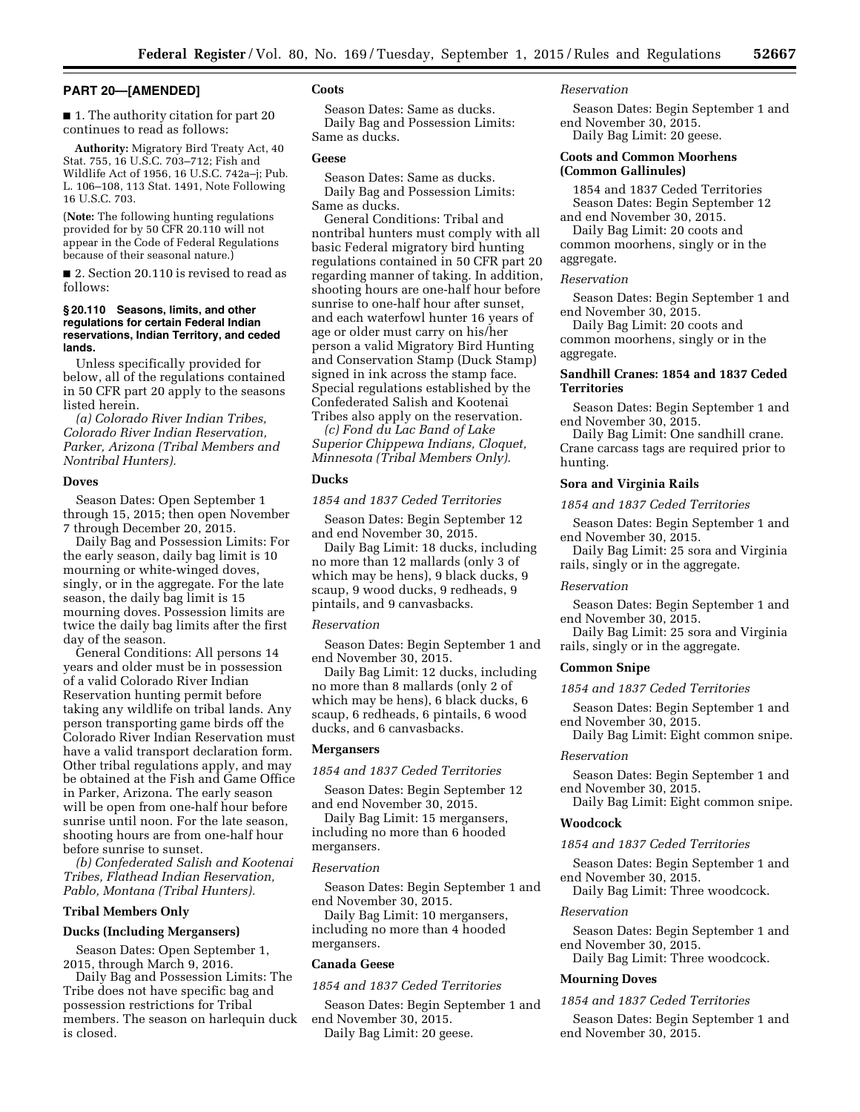# **PART 20—[AMENDED]**

■ 1. The authority citation for part 20 continues to read as follows:

**Authority:** Migratory Bird Treaty Act, 40 Stat. 755, 16 U.S.C. 703–712; Fish and Wildlife Act of 1956, 16 U.S.C. 742a–j; Pub. L. 106–108, 113 Stat. 1491, Note Following 16 U.S.C. 703.

(**Note:** The following hunting regulations provided for by 50 CFR 20.110 will not appear in the Code of Federal Regulations because of their seasonal nature.)

■ 2. Section 20.110 is revised to read as follows:

# **§ 20.110 Seasons, limits, and other regulations for certain Federal Indian reservations, Indian Territory, and ceded lands.**

Unless specifically provided for below, all of the regulations contained in 50 CFR part 20 apply to the seasons listed herein.

*(a) Colorado River Indian Tribes, Colorado River Indian Reservation, Parker, Arizona (Tribal Members and Nontribal Hunters).* 

# **Doves**

Season Dates: Open September 1 through 15, 2015; then open November 7 through December 20, 2015.

Daily Bag and Possession Limits: For the early season, daily bag limit is 10 mourning or white-winged doves, singly, or in the aggregate. For the late season, the daily bag limit is 15 mourning doves. Possession limits are twice the daily bag limits after the first day of the season.

General Conditions: All persons 14 years and older must be in possession of a valid Colorado River Indian Reservation hunting permit before taking any wildlife on tribal lands. Any person transporting game birds off the Colorado River Indian Reservation must have a valid transport declaration form. Other tribal regulations apply, and may be obtained at the Fish and Game Office in Parker, Arizona. The early season will be open from one-half hour before sunrise until noon. For the late season, shooting hours are from one-half hour before sunrise to sunset.

*(b) Confederated Salish and Kootenai Tribes, Flathead Indian Reservation, Pablo, Montana (Tribal Hunters).* 

# **Tribal Members Only**

### **Ducks (Including Mergansers)**

Season Dates: Open September 1, 2015, through March 9, 2016.

Daily Bag and Possession Limits: The Tribe does not have specific bag and possession restrictions for Tribal members. The season on harlequin duck is closed.

# **Coots**

Season Dates: Same as ducks. Daily Bag and Possession Limits: Same as ducks.

### **Geese**

Season Dates: Same as ducks. Daily Bag and Possession Limits: Same as ducks.

General Conditions: Tribal and nontribal hunters must comply with all basic Federal migratory bird hunting regulations contained in 50 CFR part 20 regarding manner of taking. In addition, shooting hours are one-half hour before sunrise to one-half hour after sunset, and each waterfowl hunter 16 years of age or older must carry on his/her person a valid Migratory Bird Hunting and Conservation Stamp (Duck Stamp) signed in ink across the stamp face. Special regulations established by the Confederated Salish and Kootenai Tribes also apply on the reservation.

*(c) Fond du Lac Band of Lake Superior Chippewa Indians, Cloquet, Minnesota (Tribal Members Only).* 

### **Ducks**

*1854 and 1837 Ceded Territories* 

Season Dates: Begin September 12 and end November 30, 2015.

Daily Bag Limit: 18 ducks, including no more than 12 mallards (only 3 of which may be hens), 9 black ducks, 9 scaup, 9 wood ducks, 9 redheads, 9 pintails, and 9 canvasbacks.

### *Reservation*

Season Dates: Begin September 1 and end November 30, 2015.

Daily Bag Limit: 12 ducks, including no more than 8 mallards (only 2 of which may be hens), 6 black ducks, 6 scaup, 6 redheads, 6 pintails, 6 wood ducks, and 6 canvasbacks.

### **Mergansers**

*1854 and 1837 Ceded Territories* 

Season Dates: Begin September 12 and end November 30, 2015.

Daily Bag Limit: 15 mergansers, including no more than 6 hooded mergansers.

### *Reservation*

Season Dates: Begin September 1 and end November 30, 2015.

Daily Bag Limit: 10 mergansers, including no more than 4 hooded mergansers.

# **Canada Geese**

# *1854 and 1837 Ceded Territories*

Season Dates: Begin September 1 and end November 30, 2015. Daily Bag Limit: 20 geese.

### *Reservation*

Season Dates: Begin September 1 and end November 30, 2015. Daily Bag Limit: 20 geese.

# **Coots and Common Moorhens (Common Gallinules)**

1854 and 1837 Ceded Territories Season Dates: Begin September 12 and end November 30, 2015.

Daily Bag Limit: 20 coots and common moorhens, singly or in the

# aggregate. *Reservation*

Season Dates: Begin September 1 and end November 30, 2015.

Daily Bag Limit: 20 coots and common moorhens, singly or in the aggregate.

# **Sandhill Cranes: 1854 and 1837 Ceded Territories**

Season Dates: Begin September 1 and end November 30, 2015.

Daily Bag Limit: One sandhill crane. Crane carcass tags are required prior to hunting.

# **Sora and Virginia Rails**

*1854 and 1837 Ceded Territories* 

Season Dates: Begin September 1 and end November 30, 2015.

Daily Bag Limit: 25 sora and Virginia rails, singly or in the aggregate.

# *Reservation*

Season Dates: Begin September 1 and end November 30, 2015.

Daily Bag Limit: 25 sora and Virginia rails, singly or in the aggregate.

### **Common Snipe**

# *1854 and 1837 Ceded Territories*

Season Dates: Begin September 1 and end November 30, 2015.

Daily Bag Limit: Eight common snipe.

# *Reservation*

Season Dates: Begin September 1 and end November 30, 2015.

Daily Bag Limit: Eight common snipe.

# **Woodcock**

### *1854 and 1837 Ceded Territories*

Season Dates: Begin September 1 and end November 30, 2015.

Daily Bag Limit: Three woodcock.

# *Reservation*

Season Dates: Begin September 1 and end November 30, 2015.

Daily Bag Limit: Three woodcock.

# **Mourning Doves**

# *1854 and 1837 Ceded Territories*

Season Dates: Begin September 1 and end November 30, 2015.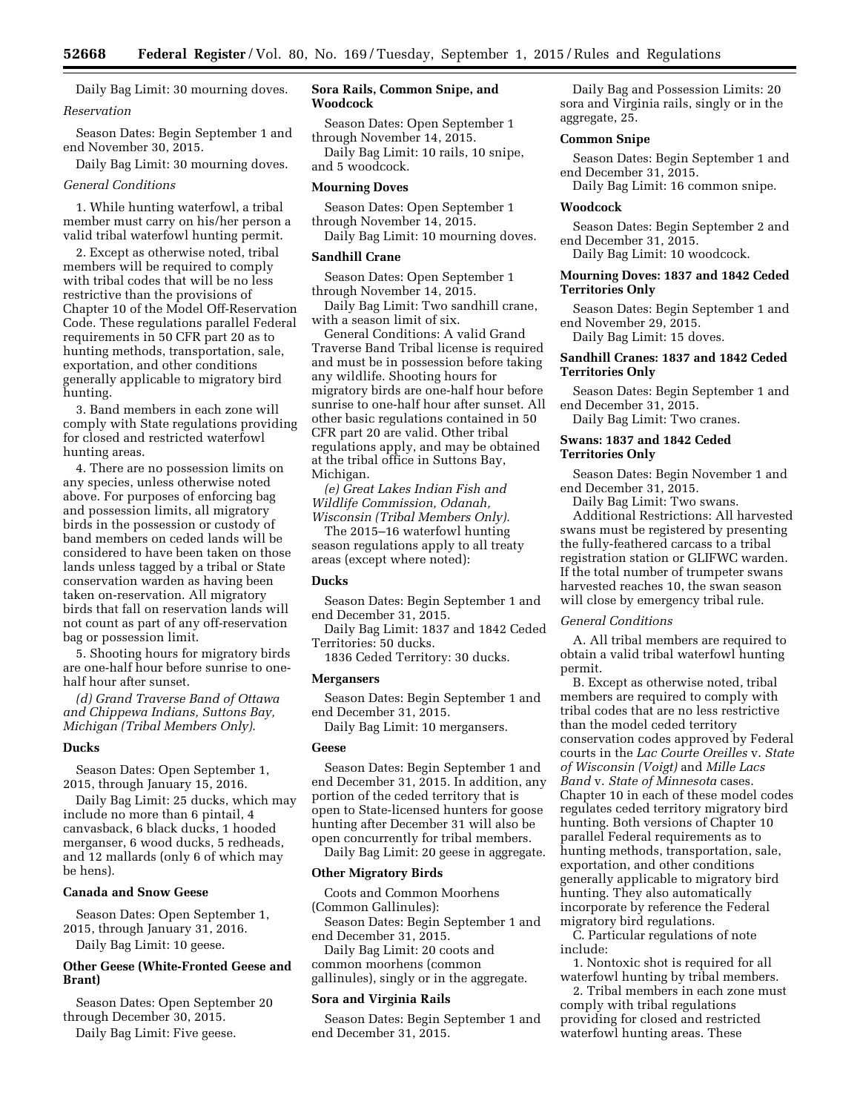Daily Bag Limit: 30 mourning doves. *Reservation* 

Season Dates: Begin September 1 and end November 30, 2015.

Daily Bag Limit: 30 mourning doves.

# *General Conditions*

1. While hunting waterfowl, a tribal member must carry on his/her person a valid tribal waterfowl hunting permit.

2. Except as otherwise noted, tribal members will be required to comply with tribal codes that will be no less restrictive than the provisions of Chapter 10 of the Model Off-Reservation Code. These regulations parallel Federal requirements in 50 CFR part 20 as to hunting methods, transportation, sale, exportation, and other conditions generally applicable to migratory bird hunting.

3. Band members in each zone will comply with State regulations providing for closed and restricted waterfowl hunting areas.

4. There are no possession limits on any species, unless otherwise noted above. For purposes of enforcing bag and possession limits, all migratory birds in the possession or custody of band members on ceded lands will be considered to have been taken on those lands unless tagged by a tribal or State conservation warden as having been taken on-reservation. All migratory birds that fall on reservation lands will not count as part of any off-reservation bag or possession limit.

5. Shooting hours for migratory birds are one-half hour before sunrise to onehalf hour after sunset.

*(d) Grand Traverse Band of Ottawa and Chippewa Indians, Suttons Bay, Michigan (Tribal Members Only)*.

### **Ducks**

Season Dates: Open September 1, 2015, through January 15, 2016.

Daily Bag Limit: 25 ducks, which may include no more than 6 pintail, 4 canvasback, 6 black ducks, 1 hooded merganser, 6 wood ducks, 5 redheads, and 12 mallards (only 6 of which may be hens).

#### **Canada and Snow Geese**

Season Dates: Open September 1, 2015, through January 31, 2016.

Daily Bag Limit: 10 geese.

# **Other Geese (White-Fronted Geese and Brant)**

Season Dates: Open September 20 through December 30, 2015.

Daily Bag Limit: Five geese.

# **Sora Rails, Common Snipe, and Woodcock**

Season Dates: Open September 1 through November 14, 2015.

Daily Bag Limit: 10 rails, 10 snipe, and 5 woodcock.

# **Mourning Doves**

Season Dates: Open September 1 through November 14, 2015.

Daily Bag Limit: 10 mourning doves.

# **Sandhill Crane**

Season Dates: Open September 1 through November 14, 2015.

Daily Bag Limit: Two sandhill crane, with a season limit of six.

General Conditions: A valid Grand Traverse Band Tribal license is required and must be in possession before taking any wildlife. Shooting hours for migratory birds are one-half hour before sunrise to one-half hour after sunset. All other basic regulations contained in 50 CFR part 20 are valid. Other tribal regulations apply, and may be obtained at the tribal office in Suttons Bay, Michigan.

*(e) Great Lakes Indian Fish and Wildlife Commission, Odanah, Wisconsin (Tribal Members Only).* 

The 2015–16 waterfowl hunting season regulations apply to all treaty areas (except where noted):

# **Ducks**

Season Dates: Begin September 1 and end December 31, 2015.

Daily Bag Limit: 1837 and 1842 Ceded Territories: 50 ducks.

1836 Ceded Territory: 30 ducks.

### **Mergansers**

Season Dates: Begin September 1 and end December 31, 2015.

Daily Bag Limit: 10 mergansers.

#### **Geese**

Season Dates: Begin September 1 and end December 31, 2015. In addition, any portion of the ceded territory that is open to State-licensed hunters for goose hunting after December 31 will also be open concurrently for tribal members.

Daily Bag Limit: 20 geese in aggregate.

# **Other Migratory Birds**

Coots and Common Moorhens (Common Gallinules): Season Dates: Begin September 1 and

end December 31, 2015.

Daily Bag Limit: 20 coots and common moorhens (common gallinules), singly or in the aggregate.

### **Sora and Virginia Rails**

Season Dates: Begin September 1 and end December 31, 2015.

Daily Bag and Possession Limits: 20 sora and Virginia rails, singly or in the aggregate, 25.

# **Common Snipe**

Season Dates: Begin September 1 and end December 31, 2015.

Daily Bag Limit: 16 common snipe.

# **Woodcock**

Season Dates: Begin September 2 and end December 31, 2015.

Daily Bag Limit: 10 woodcock.

# **Mourning Doves: 1837 and 1842 Ceded Territories Only**

Season Dates: Begin September 1 and end November 29, 2015.

Daily Bag Limit: 15 doves.

# **Sandhill Cranes: 1837 and 1842 Ceded Territories Only**

Season Dates: Begin September 1 and end December 31, 2015.

Daily Bag Limit: Two cranes.

# **Swans: 1837 and 1842 Ceded Territories Only**

Season Dates: Begin November 1 and end December 31, 2015.

Daily Bag Limit: Two swans.

Additional Restrictions: All harvested swans must be registered by presenting the fully-feathered carcass to a tribal registration station or GLIFWC warden. If the total number of trumpeter swans harvested reaches 10, the swan season will close by emergency tribal rule.

# *General Conditions*

A. All tribal members are required to obtain a valid tribal waterfowl hunting permit.

B. Except as otherwise noted, tribal members are required to comply with tribal codes that are no less restrictive than the model ceded territory conservation codes approved by Federal courts in the *Lac Courte Oreilles* v. *State of Wisconsin (Voigt)* and *Mille Lacs Band* v. *State of Minnesota* cases. Chapter 10 in each of these model codes regulates ceded territory migratory bird hunting. Both versions of Chapter 10 parallel Federal requirements as to hunting methods, transportation, sale, exportation, and other conditions generally applicable to migratory bird hunting. They also automatically incorporate by reference the Federal migratory bird regulations.

C. Particular regulations of note include:

1. Nontoxic shot is required for all waterfowl hunting by tribal members.

2. Tribal members in each zone must comply with tribal regulations providing for closed and restricted waterfowl hunting areas. These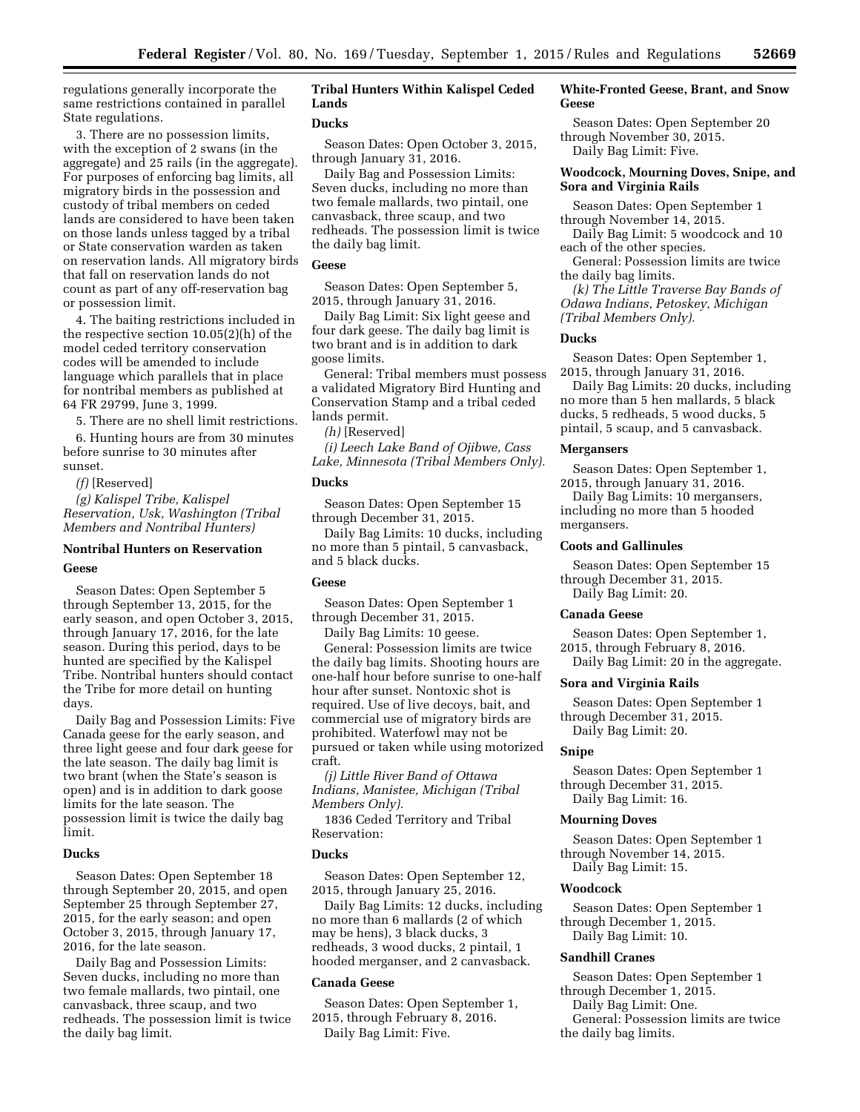regulations generally incorporate the same restrictions contained in parallel State regulations.

3. There are no possession limits, with the exception of 2 swans (in the aggregate) and 25 rails (in the aggregate). For purposes of enforcing bag limits, all migratory birds in the possession and custody of tribal members on ceded lands are considered to have been taken on those lands unless tagged by a tribal or State conservation warden as taken on reservation lands. All migratory birds that fall on reservation lands do not count as part of any off-reservation bag or possession limit.

4. The baiting restrictions included in the respective section 10.05(2)(h) of the model ceded territory conservation codes will be amended to include language which parallels that in place for nontribal members as published at 64 FR 29799, June 3, 1999.

5. There are no shell limit restrictions.

6. Hunting hours are from 30 minutes before sunrise to 30 minutes after sunset.

*(f)* [Reserved]

*(g) Kalispel Tribe, Kalispel Reservation, Usk, Washington (Tribal Members and Nontribal Hunters)* 

# **Nontribal Hunters on Reservation**

# **Geese**

Season Dates: Open September 5 through September 13, 2015, for the early season, and open October 3, 2015, through January 17, 2016, for the late season. During this period, days to be hunted are specified by the Kalispel Tribe. Nontribal hunters should contact the Tribe for more detail on hunting days.

Daily Bag and Possession Limits: Five Canada geese for the early season, and three light geese and four dark geese for the late season. The daily bag limit is two brant (when the State's season is open) and is in addition to dark goose limits for the late season. The possession limit is twice the daily bag limit.

# **Ducks**

Season Dates: Open September 18 through September 20, 2015, and open September 25 through September 27, 2015, for the early season; and open October 3, 2015, through January 17, 2016, for the late season.

Daily Bag and Possession Limits: Seven ducks, including no more than two female mallards, two pintail, one canvasback, three scaup, and two redheads. The possession limit is twice the daily bag limit.

# **Tribal Hunters Within Kalispel Ceded Lands**

# **Ducks**

Season Dates: Open October 3, 2015, through January 31, 2016.

Daily Bag and Possession Limits: Seven ducks, including no more than two female mallards, two pintail, one canvasback, three scaup, and two redheads. The possession limit is twice the daily bag limit.

# **Geese**

Season Dates: Open September 5, 2015, through January 31, 2016.

Daily Bag Limit: Six light geese and four dark geese. The daily bag limit is two brant and is in addition to dark goose limits.

General: Tribal members must possess a validated Migratory Bird Hunting and Conservation Stamp and a tribal ceded lands permit.

*(h)* [Reserved]

*(i) Leech Lake Band of Ojibwe, Cass Lake, Minnesota (Tribal Members Only).* 

# **Ducks**

Season Dates: Open September 15 through December 31, 2015.

Daily Bag Limits: 10 ducks, including no more than 5 pintail, 5 canvasback, and 5 black ducks.

# **Geese**

Season Dates: Open September 1 through December 31, 2015.

Daily Bag Limits: 10 geese.

General: Possession limits are twice the daily bag limits. Shooting hours are one-half hour before sunrise to one-half hour after sunset. Nontoxic shot is required. Use of live decoys, bait, and commercial use of migratory birds are prohibited. Waterfowl may not be pursued or taken while using motorized craft.

*(j) Little River Band of Ottawa Indians, Manistee, Michigan (Tribal Members Only).* 

1836 Ceded Territory and Tribal Reservation:

# **Ducks**

Season Dates: Open September 12, 2015, through January 25, 2016.

Daily Bag Limits: 12 ducks, including no more than 6 mallards (2 of which may be hens), 3 black ducks, 3 redheads, 3 wood ducks, 2 pintail, 1 hooded merganser, and 2 canvasback.

# **Canada Geese**

Season Dates: Open September 1, 2015, through February 8, 2016. Daily Bag Limit: Five.

# **White-Fronted Geese, Brant, and Snow Geese**

Season Dates: Open September 20 through November 30, 2015. Daily Bag Limit: Five.

# **Woodcock, Mourning Doves, Snipe, and Sora and Virginia Rails**

Season Dates: Open September 1 through November 14, 2015.

Daily Bag Limit: 5 woodcock and 10 each of the other species.

General: Possession limits are twice the daily bag limits.

*(k) The Little Traverse Bay Bands of Odawa Indians, Petoskey, Michigan (Tribal Members Only).* 

### **Ducks**

Season Dates: Open September 1, 2015, through January 31, 2016.

Daily Bag Limits: 20 ducks, including no more than 5 hen mallards, 5 black ducks, 5 redheads, 5 wood ducks, 5 pintail, 5 scaup, and 5 canvasback.

#### **Mergansers**

Season Dates: Open September 1, 2015, through January 31, 2016.

Daily Bag Limits: 10 mergansers, including no more than 5 hooded mergansers.

# **Coots and Gallinules**

Season Dates: Open September 15 through December 31, 2015. Daily Bag Limit: 20.

### **Canada Geese**

Season Dates: Open September 1, 2015, through February 8, 2016.

Daily Bag Limit: 20 in the aggregate.

# **Sora and Virginia Rails**

Season Dates: Open September 1 through December 31, 2015. Daily Bag Limit: 20.

### **Snipe**

Season Dates: Open September 1 through December 31, 2015. Daily Bag Limit: 16.

### **Mourning Doves**

Season Dates: Open September 1 through November 14, 2015. Daily Bag Limit: 15.

# **Woodcock**

Season Dates: Open September 1 through December 1, 2015. Daily Bag Limit: 10.

# **Sandhill Cranes**

Season Dates: Open September 1 through December 1, 2015.

Daily Bag Limit: One.

General: Possession limits are twice the daily bag limits.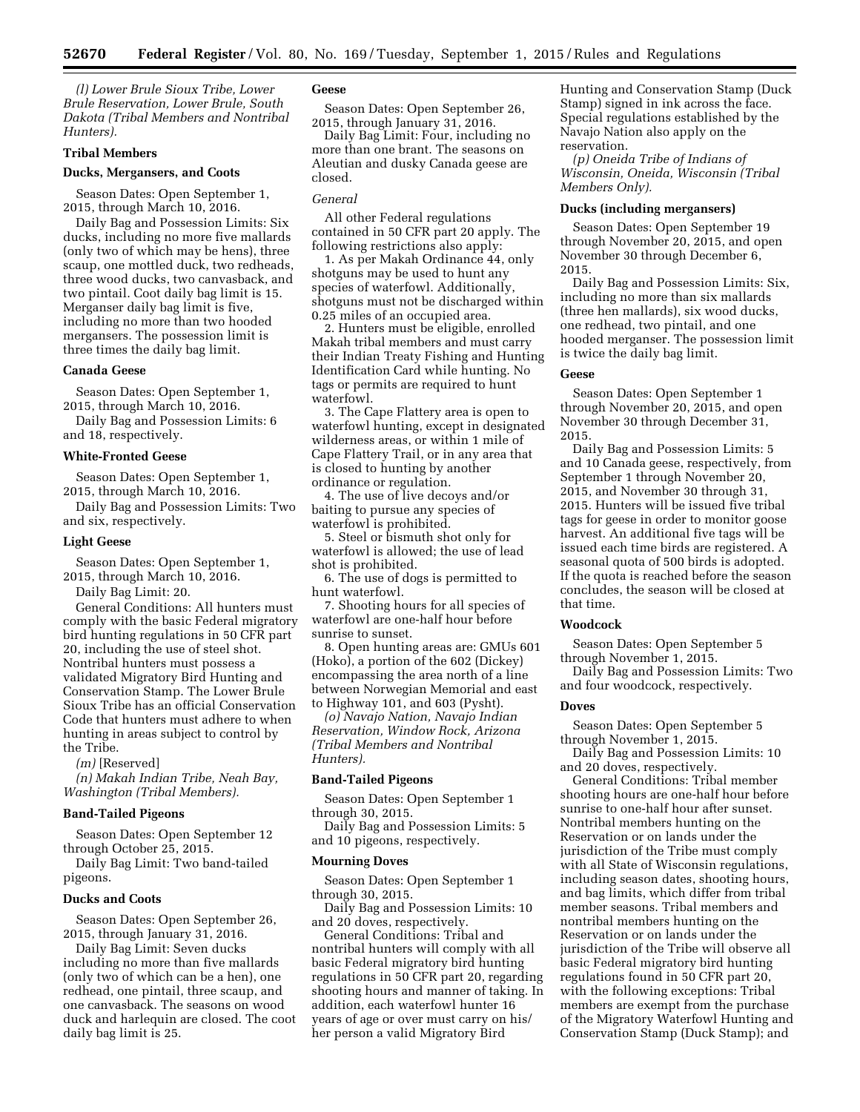*(l) Lower Brule Sioux Tribe, Lower Brule Reservation, Lower Brule, South Dakota (Tribal Members and Nontribal Hunters).* 

# **Tribal Members**

### **Ducks, Mergansers, and Coots**

Season Dates: Open September 1, 2015, through March 10, 2016.

Daily Bag and Possession Limits: Six ducks, including no more five mallards (only two of which may be hens), three scaup, one mottled duck, two redheads, three wood ducks, two canvasback, and two pintail. Coot daily bag limit is 15. Merganser daily bag limit is five, including no more than two hooded mergansers. The possession limit is three times the daily bag limit.

# **Canada Geese**

Season Dates: Open September 1, 2015, through March 10, 2016.

Daily Bag and Possession Limits: 6 and 18, respectively.

### **White-Fronted Geese**

Season Dates: Open September 1, 2015, through March 10, 2016.

Daily Bag and Possession Limits: Two and six, respectively.

#### **Light Geese**

Season Dates: Open September 1, 2015, through March 10, 2016.

Daily Bag Limit: 20.

General Conditions: All hunters must comply with the basic Federal migratory bird hunting regulations in 50 CFR part 20, including the use of steel shot. Nontribal hunters must possess a validated Migratory Bird Hunting and Conservation Stamp. The Lower Brule Sioux Tribe has an official Conservation Code that hunters must adhere to when hunting in areas subject to control by the Tribe.

*(m)* [Reserved]

*(n) Makah Indian Tribe, Neah Bay, Washington (Tribal Members).* 

### **Band-Tailed Pigeons**

Season Dates: Open September 12 through October 25, 2015.

Daily Bag Limit: Two band-tailed pigeons.

# **Ducks and Coots**

Season Dates: Open September 26, 2015, through January 31, 2016.

Daily Bag Limit: Seven ducks including no more than five mallards (only two of which can be a hen), one redhead, one pintail, three scaup, and one canvasback. The seasons on wood duck and harlequin are closed. The coot daily bag limit is 25.

# **Geese**

Season Dates: Open September 26, 2015, through January 31, 2016.

Daily Bag Limit: Four, including no more than one brant. The seasons on Aleutian and dusky Canada geese are closed.

# *General*

All other Federal regulations contained in 50 CFR part 20 apply. The following restrictions also apply:

1. As per Makah Ordinance 44, only shotguns may be used to hunt any species of waterfowl. Additionally, shotguns must not be discharged within 0.25 miles of an occupied area.

2. Hunters must be eligible, enrolled Makah tribal members and must carry their Indian Treaty Fishing and Hunting Identification Card while hunting. No tags or permits are required to hunt waterfowl.

3. The Cape Flattery area is open to waterfowl hunting, except in designated wilderness areas, or within 1 mile of Cape Flattery Trail, or in any area that is closed to hunting by another ordinance or regulation.

4. The use of live decoys and/or baiting to pursue any species of waterfowl is prohibited.

5. Steel or bismuth shot only for waterfowl is allowed; the use of lead shot is prohibited.

6. The use of dogs is permitted to hunt waterfowl.

7. Shooting hours for all species of waterfowl are one-half hour before sunrise to sunset.

8. Open hunting areas are: GMUs 601 (Hoko), a portion of the 602 (Dickey) encompassing the area north of a line between Norwegian Memorial and east to Highway 101, and 603 (Pysht).

*(o) Navajo Nation, Navajo Indian Reservation, Window Rock, Arizona (Tribal Members and Nontribal Hunters).* 

### **Band-Tailed Pigeons**

Season Dates: Open September 1 through 30, 2015.

Daily Bag and Possession Limits: 5 and 10 pigeons, respectively.

### **Mourning Doves**

Season Dates: Open September 1 through 30, 2015.

Daily Bag and Possession Limits: 10 and 20 doves, respectively.

General Conditions: Tribal and nontribal hunters will comply with all basic Federal migratory bird hunting regulations in 50 CFR part 20, regarding shooting hours and manner of taking. In addition, each waterfowl hunter 16 years of age or over must carry on his/ her person a valid Migratory Bird

Hunting and Conservation Stamp (Duck Stamp) signed in ink across the face. Special regulations established by the Navajo Nation also apply on the reservation.

*(p) Oneida Tribe of Indians of Wisconsin, Oneida, Wisconsin (Tribal Members Only).* 

# **Ducks (including mergansers)**

Season Dates: Open September 19 through November 20, 2015, and open November 30 through December 6, 2015.

Daily Bag and Possession Limits: Six, including no more than six mallards (three hen mallards), six wood ducks, one redhead, two pintail, and one hooded merganser. The possession limit is twice the daily bag limit.

### **Geese**

Season Dates: Open September 1 through November 20, 2015, and open November 30 through December 31, 2015.

Daily Bag and Possession Limits: 5 and 10 Canada geese, respectively, from September 1 through November 20, 2015, and November 30 through 31, 2015. Hunters will be issued five tribal tags for geese in order to monitor goose harvest. An additional five tags will be issued each time birds are registered. A seasonal quota of 500 birds is adopted. If the quota is reached before the season concludes, the season will be closed at that time.

### **Woodcock**

Season Dates: Open September 5 through November 1, 2015.

Daily Bag and Possession Limits: Two and four woodcock, respectively.

### **Doves**

Season Dates: Open September 5 through November 1, 2015.

Daily Bag and Possession Limits: 10 and 20 doves, respectively.

General Conditions: Tribal member shooting hours are one-half hour before sunrise to one-half hour after sunset. Nontribal members hunting on the Reservation or on lands under the jurisdiction of the Tribe must comply with all State of Wisconsin regulations, including season dates, shooting hours, and bag limits, which differ from tribal member seasons. Tribal members and nontribal members hunting on the Reservation or on lands under the jurisdiction of the Tribe will observe all basic Federal migratory bird hunting regulations found in 50 CFR part 20, with the following exceptions: Tribal members are exempt from the purchase of the Migratory Waterfowl Hunting and Conservation Stamp (Duck Stamp); and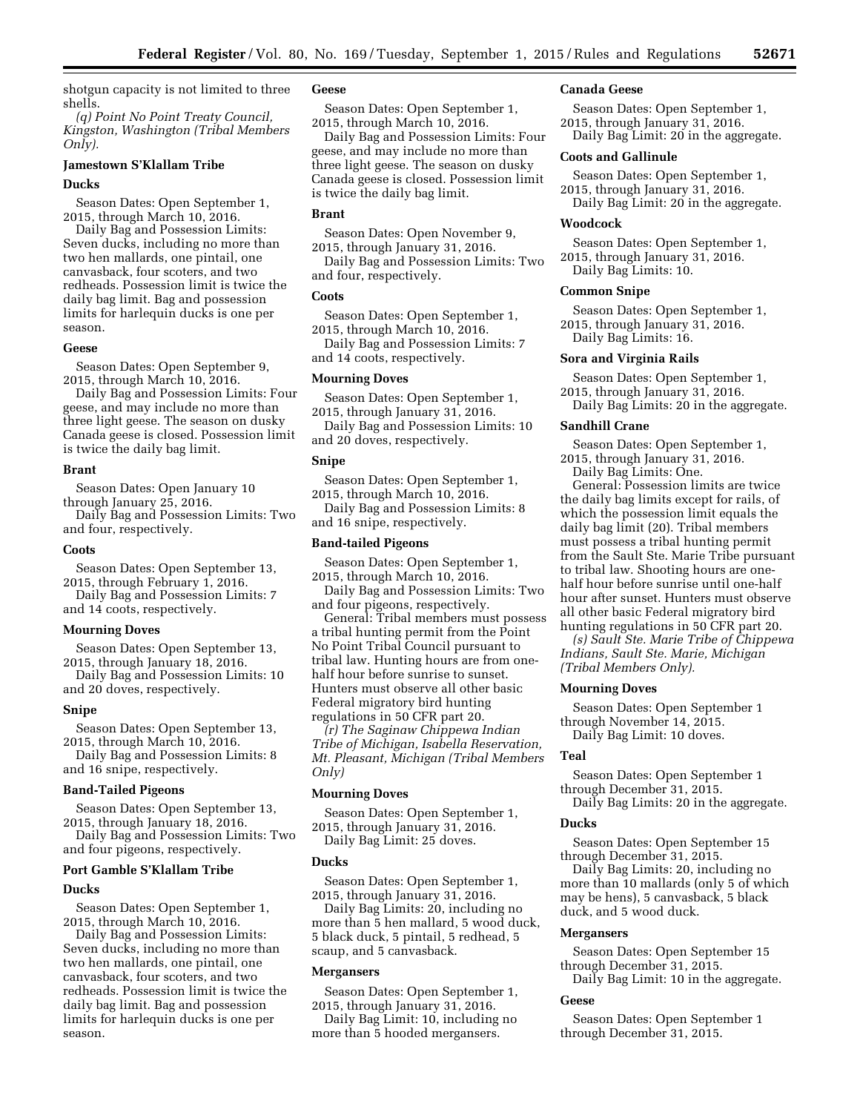shotgun capacity is not limited to three shells.

*(q) Point No Point Treaty Council, Kingston, Washington (Tribal Members Only).* 

# **Jamestown S'Klallam Tribe**

# **Ducks**

Season Dates: Open September 1, 2015, through March 10, 2016.

Daily Bag and Possession Limits: Seven ducks, including no more than two hen mallards, one pintail, one canvasback, four scoters, and two redheads. Possession limit is twice the daily bag limit. Bag and possession limits for harlequin ducks is one per season.

# **Geese**

Season Dates: Open September 9, 2015, through March 10, 2016.

Daily Bag and Possession Limits: Four geese, and may include no more than three light geese. The season on dusky Canada geese is closed. Possession limit is twice the daily bag limit.

### **Brant**

Season Dates: Open January 10 through January 25, 2016. Daily Bag and Possession Limits: Two

and four, respectively.

### **Coots**

Season Dates: Open September 13, 2015, through February 1, 2016. Daily Bag and Possession Limits: 7 and 14 coots, respectively.

### **Mourning Doves**

Season Dates: Open September 13, 2015, through January 18, 2016.

Daily Bag and Possession Limits: 10 and 20 doves, respectively.

### **Snipe**

Season Dates: Open September 13, 2015, through March 10, 2016.

Daily Bag and Possession Limits: 8 and 16 snipe, respectively.

# **Band-Tailed Pigeons**

Season Dates: Open September 13, 2015, through January 18, 2016.

Daily Bag and Possession Limits: Two and four pigeons, respectively.

# **Port Gamble S'Klallam Tribe**

#### **Ducks**

Season Dates: Open September 1, 2015, through March 10, 2016.

Daily Bag and Possession Limits: Seven ducks, including no more than two hen mallards, one pintail, one canvasback, four scoters, and two redheads. Possession limit is twice the daily bag limit. Bag and possession limits for harlequin ducks is one per season.

# **Geese**

Season Dates: Open September 1, 2015, through March 10, 2016.

Daily Bag and Possession Limits: Four geese, and may include no more than three light geese. The season on dusky Canada geese is closed. Possession limit is twice the daily bag limit.

# **Brant**

Season Dates: Open November 9, 2015, through January 31, 2016.

Daily Bag and Possession Limits: Two and four, respectively.

# **Coots**

Season Dates: Open September 1, 2015, through March 10, 2016. Daily Bag and Possession Limits: 7 and 14 coots, respectively.

# **Mourning Doves**

Season Dates: Open September 1, 2015, through January 31, 2016.

Daily Bag and Possession Limits: 10 and 20 doves, respectively.

# **Snipe**

Season Dates: Open September 1, 2015, through March 10, 2016.

Daily Bag and Possession Limits: 8 and 16 snipe, respectively.

### **Band-tailed Pigeons**

Season Dates: Open September 1, 2015, through March 10, 2016.

Daily Bag and Possession Limits: Two and four pigeons, respectively.

General: Tribal members must possess a tribal hunting permit from the Point No Point Tribal Council pursuant to tribal law. Hunting hours are from onehalf hour before sunrise to sunset. Hunters must observe all other basic Federal migratory bird hunting regulations in 50 CFR part 20.

*(r) The Saginaw Chippewa Indian Tribe of Michigan, Isabella Reservation, Mt. Pleasant, Michigan (Tribal Members Only)* 

# **Mourning Doves**

Season Dates: Open September 1, 2015, through January 31, 2016. Daily Bag Limit: 25 doves.

### **Ducks**

Season Dates: Open September 1, 2015, through January 31, 2016.

Daily Bag Limits: 20, including no more than 5 hen mallard, 5 wood duck, 5 black duck, 5 pintail, 5 redhead, 5 scaup, and 5 canvasback.

### **Mergansers**

Season Dates: Open September 1, 2015, through January 31, 2016.

Daily Bag Limit: 10, including no more than 5 hooded mergansers.

### **Canada Geese**

Season Dates: Open September 1, 2015, through January 31, 2016. Daily Bag Limit: 20 in the aggregate.

### **Coots and Gallinule**

Season Dates: Open September 1, 2015, through January 31, 2016. Daily Bag Limit: 20 in the aggregate.

### **Woodcock**

Season Dates: Open September 1, 2015, through January 31, 2016. Daily Bag Limits: 10.

# **Common Snipe**

Season Dates: Open September 1, 2015, through January 31, 2016. Daily Bag Limits: 16.

#### **Sora and Virginia Rails**

Season Dates: Open September 1, 2015, through January 31, 2016.

Daily Bag Limits: 20 in the aggregate.

# **Sandhill Crane**

Season Dates: Open September 1, 2015, through January 31, 2016.

Daily Bag Limits: One.

General: Possession limits are twice the daily bag limits except for rails, of which the possession limit equals the daily bag limit (20). Tribal members must possess a tribal hunting permit from the Sault Ste. Marie Tribe pursuant to tribal law. Shooting hours are onehalf hour before sunrise until one-half hour after sunset. Hunters must observe all other basic Federal migratory bird hunting regulations in 50 CFR part 20.

*(s) Sault Ste. Marie Tribe of Chippewa Indians, Sault Ste. Marie, Michigan (Tribal Members Only).* 

# **Mourning Doves**

Season Dates: Open September 1 through November 14, 2015.

Daily Bag Limit: 10 doves.

### **Teal**

Season Dates: Open September 1 through December 31, 2015.

Daily Bag Limits: 20 in the aggregate.

# **Ducks**

Season Dates: Open September 15 through December 31, 2015.

Daily Bag Limits: 20, including no more than 10 mallards (only 5 of which may be hens), 5 canvasback, 5 black duck, and 5 wood duck.

### **Mergansers**

Season Dates: Open September 15 through December 31, 2015.

Daily Bag Limit: 10 in the aggregate.

### **Geese**

Season Dates: Open September 1 through December 31, 2015.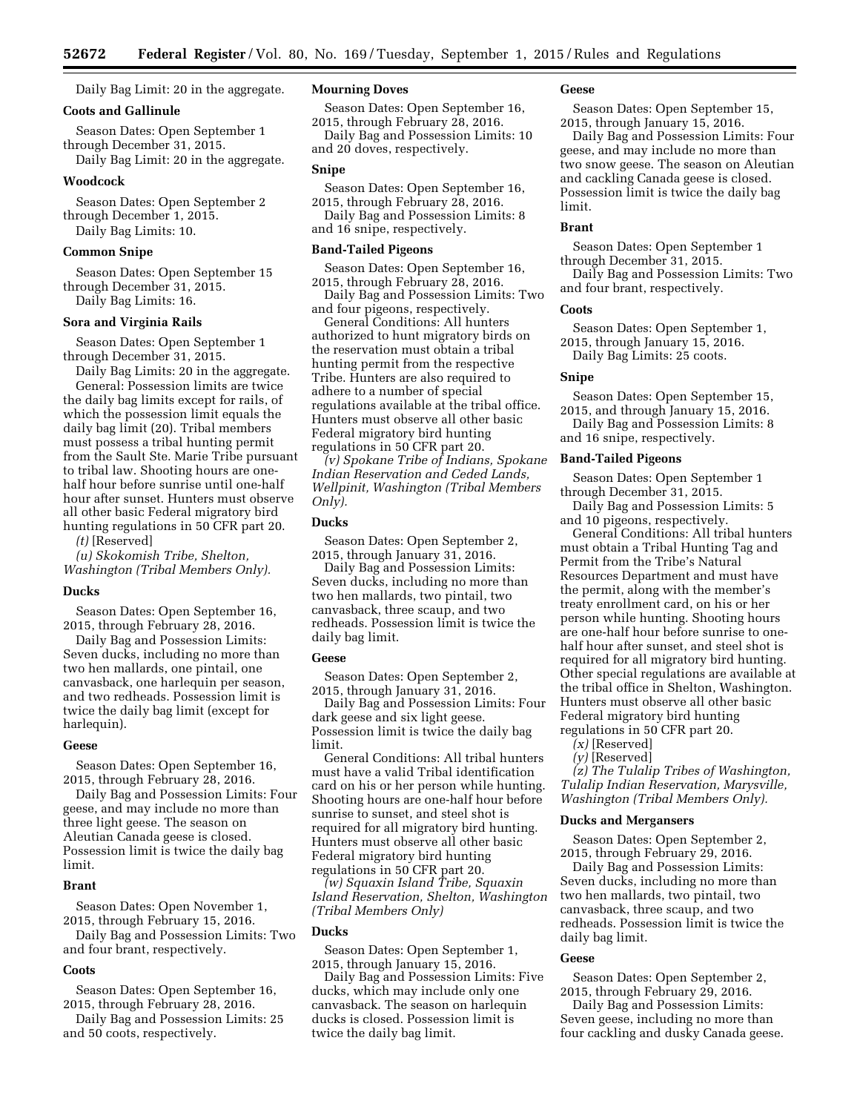Daily Bag Limit: 20 in the aggregate.

# **Coots and Gallinule**

Season Dates: Open September 1 through December 31, 2015.

Daily Bag Limit: 20 in the aggregate.

### **Woodcock**

Season Dates: Open September 2 through December 1, 2015. Daily Bag Limits: 10.

# **Common Snipe**

Season Dates: Open September 15 through December 31, 2015. Daily Bag Limits: 16.

# **Sora and Virginia Rails**

Season Dates: Open September 1 through December 31, 2015.

Daily Bag Limits: 20 in the aggregate. General: Possession limits are twice the daily bag limits except for rails, of which the possession limit equals the daily bag limit (20). Tribal members must possess a tribal hunting permit from the Sault Ste. Marie Tribe pursuant to tribal law. Shooting hours are onehalf hour before sunrise until one-half hour after sunset. Hunters must observe all other basic Federal migratory bird hunting regulations in 50 CFR part 20.

*(t)* [Reserved]

*(u) Skokomish Tribe, Shelton, Washington (Tribal Members Only).* 

### **Ducks**

Season Dates: Open September 16, 2015, through February 28, 2016.

Daily Bag and Possession Limits: Seven ducks, including no more than two hen mallards, one pintail, one canvasback, one harlequin per season, and two redheads. Possession limit is twice the daily bag limit (except for harlequin).

#### **Geese**

Season Dates: Open September 16, 2015, through February 28, 2016.

Daily Bag and Possession Limits: Four geese, and may include no more than three light geese. The season on Aleutian Canada geese is closed. Possession limit is twice the daily bag limit.

### **Brant**

Season Dates: Open November 1, 2015, through February 15, 2016.

Daily Bag and Possession Limits: Two and four brant, respectively.

# **Coots**

Season Dates: Open September 16, 2015, through February 28, 2016.

Daily Bag and Possession Limits: 25 and 50 coots, respectively.

# **Mourning Doves**

Season Dates: Open September 16, 2015, through February 28, 2016.

Daily Bag and Possession Limits: 10 and 20 doves, respectively.

### **Snipe**

Season Dates: Open September 16, 2015, through February 28, 2016. Daily Bag and Possession Limits: 8

and 16 snipe, respectively.

### **Band-Tailed Pigeons**

Season Dates: Open September 16, 2015, through February 28, 2016.

Daily Bag and Possession Limits: Two and four pigeons, respectively.

General Conditions: All hunters authorized to hunt migratory birds on the reservation must obtain a tribal hunting permit from the respective Tribe. Hunters are also required to adhere to a number of special regulations available at the tribal office. Hunters must observe all other basic Federal migratory bird hunting regulations in 50 CFR part 20.

*(v) Spokane Tribe of Indians, Spokane Indian Reservation and Ceded Lands, Wellpinit, Washington (Tribal Members Only).* 

# **Ducks**

Season Dates: Open September 2, 2015, through January 31, 2016.

Daily Bag and Possession Limits: Seven ducks, including no more than two hen mallards, two pintail, two canvasback, three scaup, and two redheads. Possession limit is twice the daily bag limit.

### **Geese**

Season Dates: Open September 2, 2015, through January 31, 2016.

Daily Bag and Possession Limits: Four dark geese and six light geese. Possession limit is twice the daily bag limit.

General Conditions: All tribal hunters must have a valid Tribal identification card on his or her person while hunting. Shooting hours are one-half hour before sunrise to sunset, and steel shot is required for all migratory bird hunting. Hunters must observe all other basic Federal migratory bird hunting regulations in 50 CFR part 20.

*(w) Squaxin Island Tribe, Squaxin Island Reservation, Shelton, Washington (Tribal Members Only)* 

### **Ducks**

Season Dates: Open September 1, 2015, through January 15, 2016.

Daily Bag and Possession Limits: Five ducks, which may include only one canvasback. The season on harlequin ducks is closed. Possession limit is twice the daily bag limit.

### **Geese**

Season Dates: Open September 15, 2015, through January 15, 2016.

Daily Bag and Possession Limits: Four geese, and may include no more than two snow geese. The season on Aleutian and cackling Canada geese is closed. Possession limit is twice the daily bag limit.

### **Brant**

Season Dates: Open September 1 through December 31, 2015.

Daily Bag and Possession Limits: Two and four brant, respectively.

### **Coots**

Season Dates: Open September 1, 2015, through January 15, 2016. Daily Bag Limits: 25 coots.

### **Snipe**

Season Dates: Open September 15, 2015, and through January 15, 2016.

Daily Bag and Possession Limits: 8 and 16 snipe, respectively.

### **Band-Tailed Pigeons**

Season Dates: Open September 1 through December 31, 2015.

Daily Bag and Possession Limits: 5 and 10 pigeons, respectively.

General Conditions: All tribal hunters must obtain a Tribal Hunting Tag and Permit from the Tribe's Natural Resources Department and must have the permit, along with the member's treaty enrollment card, on his or her person while hunting. Shooting hours are one-half hour before sunrise to onehalf hour after sunset, and steel shot is required for all migratory bird hunting. Other special regulations are available at the tribal office in Shelton, Washington. Hunters must observe all other basic Federal migratory bird hunting regulations in 50 CFR part 20.

- *(x)* [Reserved]
- *(y)* [Reserved]

*(z) The Tulalip Tribes of Washington, Tulalip Indian Reservation, Marysville, Washington (Tribal Members Only).* 

### **Ducks and Mergansers**

Season Dates: Open September 2, 2015, through February 29, 2016.

Daily Bag and Possession Limits: Seven ducks, including no more than two hen mallards, two pintail, two canvasback, three scaup, and two redheads. Possession limit is twice the daily bag limit.

### **Geese**

Season Dates: Open September 2, 2015, through February 29, 2016.

Daily Bag and Possession Limits: Seven geese, including no more than four cackling and dusky Canada geese.